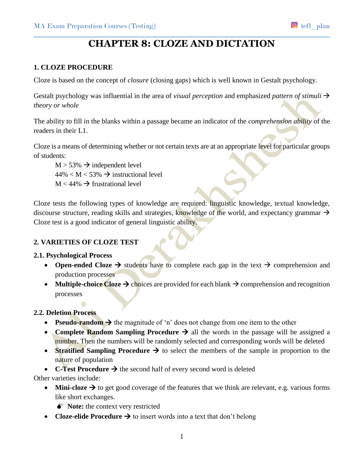# **CHAPTER 8: CLOZE AND DICTATION**

## **1. CLOZE PROCEDURE**

Cloze is based on the concept of *closure* (closing gaps) which is well known in Gestalt psychology.

Gestalt psychology was influential in the area of *visual perception* and emphasized *pattern of stimuli*  $\rightarrow$ *theory or whole*

The ability to fill in the blanks within a passage became an indicator of the *comprehension ability* of the readers in their L1.

Cloze is a means of determining whether or not certain texts are at an appropriate level for particular groups of students:

 $M > 53\% \rightarrow$  independent level  $44\% < M < 53\% \rightarrow$  instructional level  $M < 44\%$   $\rightarrow$  frustrational level

Cloze tests the following types of knowledge are required: linguistic knowledge, textual knowledge, discourse structure, reading skills and strategies, knowledge of the world, and expectancy grammar  $\rightarrow$ Cloze test is a good indicator of general linguistic ability.

## **2. VARIETIES OF CLOZE TEST**

## **2.1. Psychological Process**

- Open-ended Cloze  $\rightarrow$  students have to complete each gap in the text  $\rightarrow$  comprehension and production processes
- Multiple-choice Cloze  $\rightarrow$  choices are provided for each blank  $\rightarrow$  comprehension and recognition processes

## **2.2. Deletion Process**

- **Pseudo-random**  $\rightarrow$  the magnitude of 'n' does not change from one item to the other
- **Complete Random Sampling Procedure**  $\rightarrow$  all the words in the passage will be assigned a number. Then the numbers will be randomly selected and corresponding words will be deleted
- **Stratified Sampling Procedure**  $\rightarrow$  to select the members of the sample in proportion to the nature of population
- **C-Test Procedure**  $\rightarrow$  the second half of every second word is deleted

Other varieties include:

- Mini-cloze  $\rightarrow$  to get good coverage of the features that we think are relevant, e.g. various forms like short exchanges.
	- $\bullet^*$  **Note:** the context very restricted
- **Cloze-elide Procedure**  $\rightarrow$  to insert words into a text that don't belong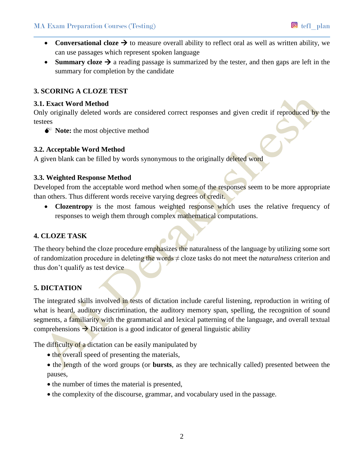- **Conversational cloze**  $\rightarrow$  to measure overall ability to reflect oral as well as written ability, we can use passages which represent spoken language
- **Summary cloze**  $\rightarrow$  a reading passage is summarized by the tester, and then gaps are left in the summary for completion by the candidate

## **3. SCORING A CLOZE TEST**

#### **3.1. Exact Word Method**

Only originally deleted words are considered correct responses and given credit if reproduced by the testees

 $\bullet^*$  **Note:** the most objective method

## **3.2. Acceptable Word Method**

A given blank can be filled by words synonymous to the originally deleted word

## **3.3. Weighted Response Method**

Developed from the acceptable word method when some of the responses seem to be more appropriate than others. Thus different words receive varying degrees of credit.

• **Clozentropy** is the most famous weighted response which uses the relative frequency of responses to weigh them through complex mathematical computations.

# **4. CLOZE TASK**

The theory behind the cloze procedure emphasizes the naturalness of the language by utilizing some sort of randomization procedure in deleting the words ≠ cloze tasks do not meet the *naturalness* criterion and thus don't qualify as test device

# **5. DICTATION**

The integrated skills involved in tests of dictation include careful listening, reproduction in writing of what is heard, auditory discrimination, the auditory memory span, spelling, the recognition of sound segments, a familiarity with the grammatical and lexical patterning of the language, and overall textual comprehensions  $\rightarrow$  Dictation is a good indicator of general linguistic ability

The difficulty of a dictation can be easily manipulated by

- the overall speed of presenting the materials,
- the length of the word groups (or **bursts**, as they are technically called) presented between the pauses,
- the number of times the material is presented,
- the complexity of the discourse, grammar, and vocabulary used in the passage.